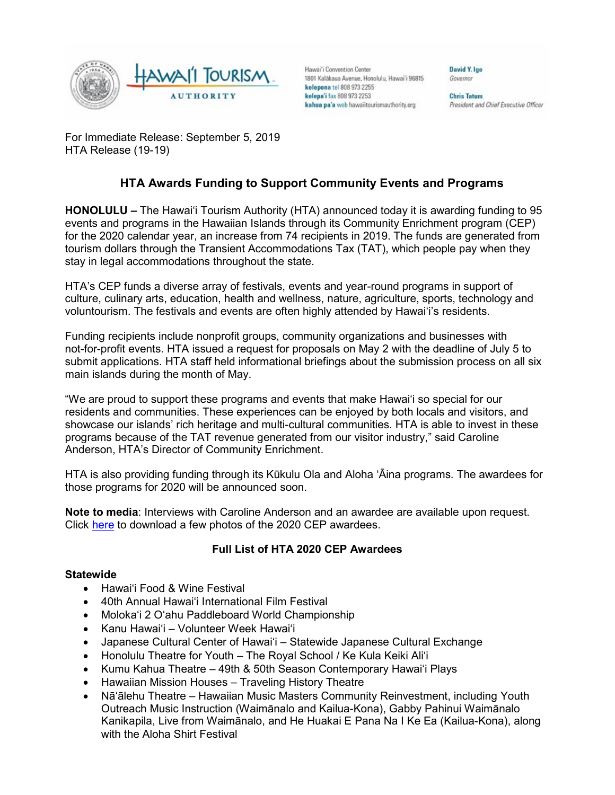

Hawai'i Convention Center 1801 Kalâkaua Avenue, Honolulu, Hawai'i 96815 kelepona tel 808 973 2255 kelepa'i fax 808 973 2253 kahua pa'a web hawaiitourismauthority.org

Governor

David Y. Ige

**Chris Tatum** President and Chief Executive Officer

For Immediate Release: September 5, 2019 HTA Release (19-19)

# **HTA Awards Funding to Support Community Events and Programs**

**HONOLULU –** The Hawai'i Tourism Authority (HTA) announced today it is awarding funding to 95 events and programs in the Hawaiian Islands through its Community Enrichment program (CEP) for the 2020 calendar year, an increase from 74 recipients in 2019. The funds are generated from tourism dollars through the Transient Accommodations Tax (TAT), which people pay when they stay in legal accommodations throughout the state.

HTA's CEP funds a diverse array of festivals, events and year-round programs in support of culture, culinary arts, education, health and wellness, nature, agriculture, sports, technology and voluntourism. The festivals and events are often highly attended by Hawai'i's residents.

Funding recipients include nonprofit groups, community organizations and businesses with not-for-profit events. HTA issued a request for proposals on May 2 with the deadline of July 5 to submit applications. HTA staff held informational briefings about the submission process on all six main islands during the month of May.

"We are proud to support these programs and events that make Hawai'i so special for our residents and communities. These experiences can be enjoyed by both locals and visitors, and showcase our islands' rich heritage and multi-cultural communities. HTA is able to invest in these programs because of the TAT revenue generated from our visitor industry," said Caroline Anderson, HTA's Director of Community Enrichment.

HTA is also providing funding through its Kūkulu Ola and Aloha 'Āina programs. The awardees for those programs for 2020 will be announced soon.

**Note to media**: Interviews with Caroline Anderson and an awardee are available upon request. Click [here](https://www.dropbox.com/sh/he2vv8qjus6x5is/AAC5j8uAvDtVZnPauW1DKRxfa?dl=0) to download a few photos of the 2020 CEP awardees.

## **Full List of HTA 2020 CEP Awardees**

### **Statewide**

- Hawai'i Food & Wine Festival
- 40th Annual Hawai'i International Film Festival
- Moloka'i 2 O'ahu Paddleboard World Championship
- Kanu Hawai'i Volunteer Week Hawai'i
- Japanese Cultural Center of Hawai'i Statewide Japanese Cultural Exchange
- Honolulu Theatre for Youth The Royal School / Ke Kula Keiki Ali'i
- Kumu Kahua Theatre 49th & 50th Season Contemporary Hawai'i Plays
- Hawaiian Mission Houses Traveling History Theatre
- Nā'ālehu Theatre Hawaiian Music Masters Community Reinvestment, including Youth Outreach Music Instruction (Waimānalo and Kailua-Kona), Gabby Pahinui Waimānalo Kanikapila, Live from Waimānalo, and He Huakai E Pana Na I Ke Ea (Kailua-Kona), along with the Aloha Shirt Festival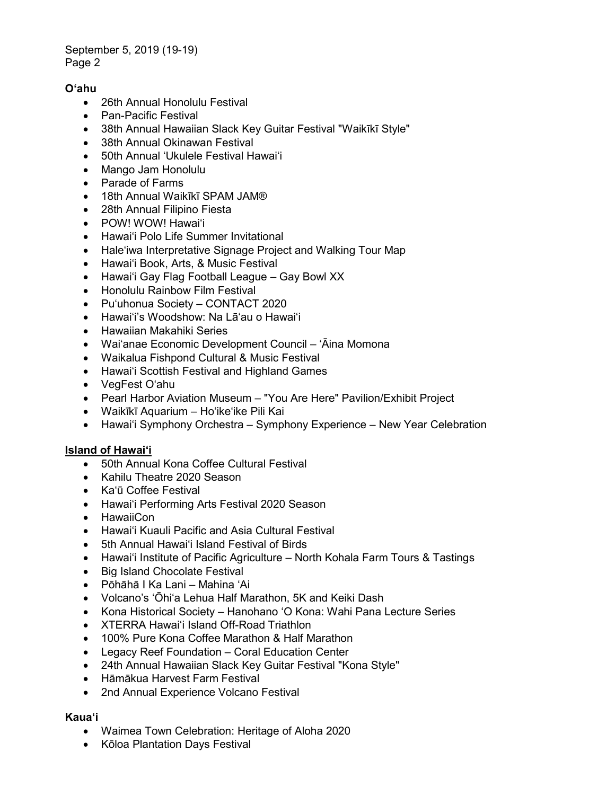### September 5, 2019 (19-19) Page 2

# **O'ahu**

- 26th Annual Honolulu Festival
- Pan-Pacific Festival
- 38th Annual Hawaiian Slack Key Guitar Festival "Waikīkī Style"
- 38th Annual Okinawan Festival
- 50th Annual 'Ukulele Festival Hawai'i
- Mango Jam Honolulu
- Parade of Farms
- 18th Annual Waikīkī SPAM JAM®
- 28th Annual Filipino Fiesta
- POW! WOW! Hawai'i
- Hawai'i Polo Life Summer Invitational
- Hale'iwa Interpretative Signage Project and Walking Tour Map
- Hawai'i Book, Arts, & Music Festival
- Hawai'i Gay Flag Football League Gay Bowl XX
- Honolulu Rainbow Film Festival
- Pu'uhonua Society CONTACT 2020
- Hawai'i's Woodshow: Na Lā'au o Hawai'i
- Hawaiian Makahiki Series
- Wai'anae Economic Development Council 'Āina Momona
- Waikalua Fishpond Cultural & Music Festival
- Hawai'i Scottish Festival and Highland Games
- VegFest O'ahu
- Pearl Harbor Aviation Museum "You Are Here" Pavilion/Exhibit Project
- Waikīkī Aquarium Ho'ike'ike Pili Kai
- Hawai'i Symphony Orchestra Symphony Experience New Year Celebration

### **Island of Hawai'i**

- 50th Annual Kona Coffee Cultural Festival
- Kahilu Theatre 2020 Season
- Ka'ū Coffee Festival
- Hawai'i Performing Arts Festival 2020 Season
- HawaiiCon
- Hawai'i Kuauli Pacific and Asia Cultural Festival
- 5th Annual Hawai'i Island Festival of Birds
- Hawai'i Institute of Pacific Agriculture North Kohala Farm Tours & Tastings
- Big Island Chocolate Festival
- Pōhāhā I Ka Lani Mahina 'Ai
- Volcano's 'Ōhi'a Lehua Half Marathon, 5K and Keiki Dash
- Kona Historical Society Hanohano 'O Kona: Wahi Pana Lecture Series
- XTERRA Hawai'i Island Off-Road Triathlon
- 100% Pure Kona Coffee Marathon & Half Marathon
- Legacy Reef Foundation Coral Education Center
- 24th Annual Hawaiian Slack Key Guitar Festival "Kona Style"
- Hāmākua Harvest Farm Festival
- 2nd Annual Experience Volcano Festival

### **Kaua'i**

- Waimea Town Celebration: Heritage of Aloha 2020
- Kōloa Plantation Days Festival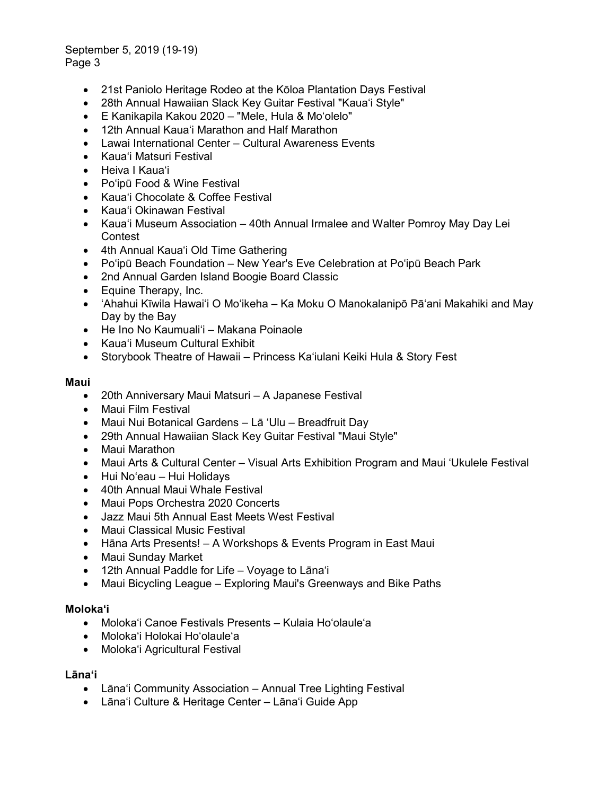September 5, 2019 (19-19) Page 3

- 21st Paniolo Heritage Rodeo at the Kōloa Plantation Days Festival
- 28th Annual Hawaiian Slack Key Guitar Festival "Kaua'i Style"
- E Kanikapila Kakou 2020 "Mele, Hula & Mo'olelo"
- 12th Annual Kaua'i Marathon and Half Marathon
- Lawai International Center Cultural Awareness Events
- Kaua'i Matsuri Festival
- Heiva I Kaua'i
- Po'ipū Food & Wine Festival
- Kaua'i Chocolate & Coffee Festival
- Kaua'i Okinawan Festival
- Kaua'i Museum Association 40th Annual Irmalee and Walter Pomroy May Day Lei **Contest**
- 4th Annual Kaua'i Old Time Gathering
- Po'ipū Beach Foundation New Year's Eve Celebration at Po'ipū Beach Park
- 2nd Annual Garden Island Boogie Board Classic
- Equine Therapy, Inc.
- 'Ahahui Kīwila Hawai'i O Mo'ikeha Ka Moku O Manokalanipō Pā'ani Makahiki and May Day by the Bay
- He Ino No Kaumuali'i Makana Poinaole
- Kaua'i Museum Cultural Exhibit
- Storybook Theatre of Hawaii Princess Ka'iulani Keiki Hula & Story Fest

#### **Maui**

- 20th Anniversary Maui Matsuri A Japanese Festival
- Maui Film Festival
- Maui Nui Botanical Gardens Lā 'Ulu Breadfruit Day
- 29th Annual Hawaiian Slack Key Guitar Festival "Maui Style"
- Maui Marathon
- Maui Arts & Cultural Center Visual Arts Exhibition Program and Maui 'Ukulele Festival
- Hui No'eau Hui Holidays
- 40th Annual Maui Whale Festival
- Maui Pops Orchestra 2020 Concerts
- Jazz Maui 5th Annual East Meets West Festival
- Maui Classical Music Festival
- Hāna Arts Presents! A Workshops & Events Program in East Maui
- Maui Sunday Market
- 12th Annual Paddle for Life Voyage to Lāna'i
- Maui Bicycling League Exploring Maui's Greenways and Bike Paths

### **Moloka'i**

- Moloka'i Canoe Festivals Presents Kulaia Ho'olaule'a
- Moloka'i Holokai Ho'olaule'a
- Moloka'i Agricultural Festival

### **Lāna'i**

- Lāna'i Community Association Annual Tree Lighting Festival
- Lāna'i Culture & Heritage Center Lāna'i Guide App